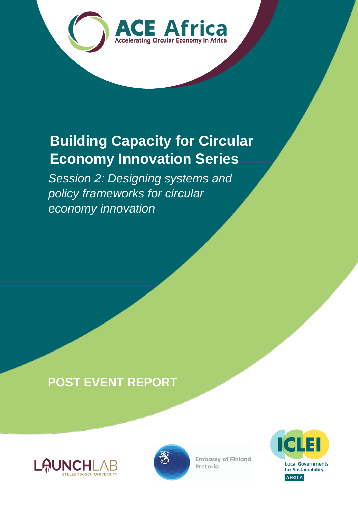

## **Building Capacity for Circular Economy Innovation Series**

*Session 2: Designing systems and policy frameworks for circular economy innovation*

## **POST EVENT REPORT**





**Embassy of Finland** Pretoria

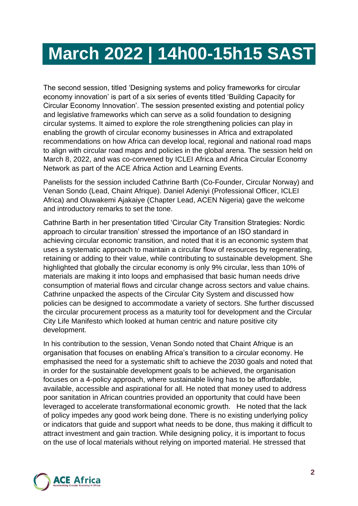## **March 2022 | 14h00-15h15 SAST**

The second session, titled 'Designing systems and policy frameworks for circular economy innovation' is part of a six series of events titled 'Building Capacity for Circular Economy Innovation'. The session presented existing and potential policy and legislative frameworks which can serve as a solid foundation to designing circular systems. It aimed to explore the role strengthening policies can play in enabling the growth of circular economy businesses in Africa and extrapolated recommendations on how Africa can develop local, regional and national road maps to align with circular road maps and policies in the global arena. The session held on March 8, 2022, and was co-convened by ICLEI Africa and Africa Circular Economy Network as part of the ACE Africa Action and Learning Events.

Panelists for the session included Cathrine Barth (Co-Founder, Circular Norway) and Venan Sondo (Lead, Chaint Afrique). Daniel Adeniyi (Professional Officer, ICLEI Africa) and Oluwakemi Ajakaiye (Chapter Lead, ACEN Nigeria) gave the welcome and introductory remarks to set the tone.

Cathrine Barth in her presentation titled 'Circular City Transition Strategies: Nordic approach to circular transition' stressed the importance of an ISO standard in achieving circular economic transition, and noted that it is an economic system that uses a systematic approach to maintain a circular flow of resources by regenerating, retaining or adding to their value, while contributing to sustainable development. She highlighted that globally the circular economy is only 9% circular, less than 10% of materials are making it into loops and emphasised that basic human needs drive consumption of material flows and circular change across sectors and value chains. Cathrine unpacked the aspects of the Circular City System and discussed how policies can be designed to accommodate a variety of sectors. She further discussed the circular procurement process as a maturity tool for development and the Circular City Life Manifesto which looked at human centric and nature positive city development.

In his contribution to the session, Venan Sondo noted that Chaint Afrique is an organisation that focuses on enabling Africa's transition to a circular economy. He emphasised the need for a systematic shift to achieve the 2030 goals and noted that in order for the sustainable development goals to be achieved, the organisation focuses on a 4-policy approach, where sustainable living has to be affordable, available, accessible and aspirational for all. He noted that money used to address poor sanitation in African countries provided an opportunity that could have been leveraged to accelerate transformational economic growth. He noted that the lack of policy impedes any good work being done. There is no existing underlying policy or indicators that guide and support what needs to be done, thus making it difficult to attract investment and gain traction. While designing policy, it is important to focus on the use of local materials without relying on imported material. He stressed that